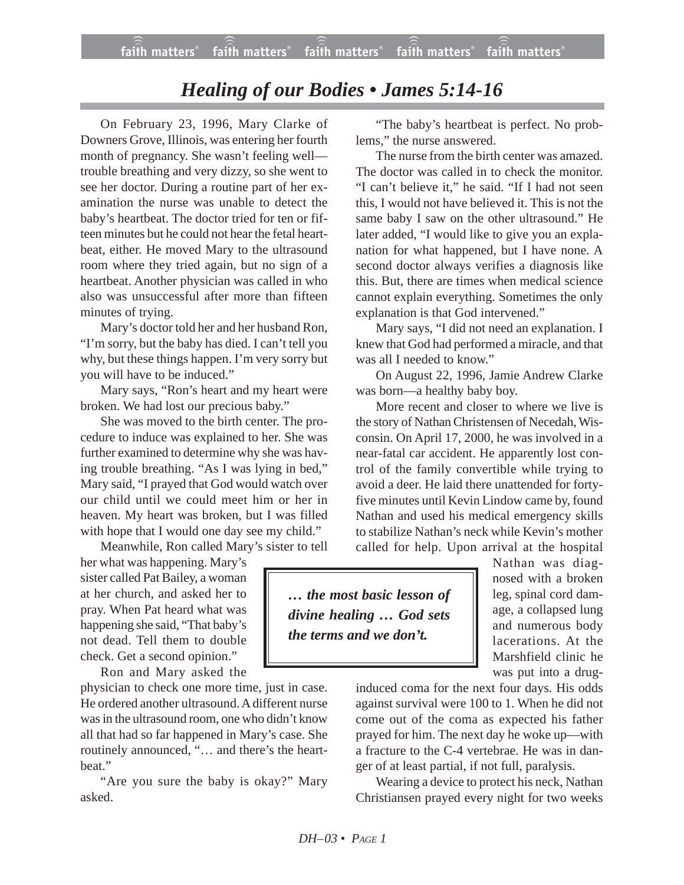# *Healing of our Bodies • James 5:14-16*

On February 23, 1996, Mary Clarke of Downers Grove, Illinois, was entering her fourth month of pregnancy. She wasn't feeling well trouble breathing and very dizzy, so she went to see her doctor. During a routine part of her examination the nurse was unable to detect the baby's heartbeat. The doctor tried for ten or fifteen minutes but he could not hear the fetal heartbeat, either. He moved Mary to the ultrasound room where they tried again, but no sign of a heartbeat. Another physician was called in who also was unsuccessful after more than fifteen minutes of trying.

Mary's doctor told her and her husband Ron, "I'm sorry, but the baby has died. I can't tell you why, but these things happen. I'm very sorry but you will have to be induced."

Mary says, "Ron's heart and my heart were broken. We had lost our precious baby."

She was moved to the birth center. The procedure to induce was explained to her. She was further examined to determine why she was having trouble breathing. "As I was lying in bed," Mary said, "I prayed that God would watch over our child until we could meet him or her in heaven. My heart was broken, but I was filled with hope that I would one day see my child."

Meanwhile, Ron called Mary's sister to tell

her what was happening. Mary's sister called Pat Bailey, a woman at her church, and asked her to pray. When Pat heard what was happening she said, "That baby's not dead. Tell them to double check. Get a second opinion."

Ron and Mary asked the

physician to check one more time, just in case. He ordered another ultrasound. A different nurse was in the ultrasound room, one who didn't know all that had so far happened in Mary's case. She routinely announced, "… and there's the heartbeat."

"Are you sure the baby is okay?" Mary asked.

"The baby's heartbeat is perfect. No problems," the nurse answered.

The nurse from the birth center was amazed. The doctor was called in to check the monitor. "I can't believe it," he said. "If I had not seen this, I would not have believed it. This is not the same baby I saw on the other ultrasound." He later added, "I would like to give you an explanation for what happened, but I have none. A second doctor always verifies a diagnosis like this. But, there are times when medical science cannot explain everything. Sometimes the only explanation is that God intervened."

Mary says, "I did not need an explanation. I knew that God had performed a miracle, and that was all I needed to know."

On August 22, 1996, Jamie Andrew Clarke was born—a healthy baby boy.

More recent and closer to where we live is the story of Nathan Christensen of Necedah, Wisconsin. On April 17, 2000, he was involved in a near-fatal car accident. He apparently lost control of the family convertible while trying to avoid a deer. He laid there unattended for fortyfive minutes until Kevin Lindow came by, found Nathan and used his medical emergency skills to stabilize Nathan's neck while Kevin's mother called for help. Upon arrival at the hospital

*… the most basic lesson of divine healing … God sets the terms and we don't.*

Nathan was diagnosed with a broken leg, spinal cord damage, a collapsed lung and numerous body lacerations. At the Marshfield clinic he was put into a drug-

induced coma for the next four days. His odds against survival were 100 to 1. When he did not come out of the coma as expected his father prayed for him. The next day he woke up—with a fracture to the C-4 vertebrae. He was in danger of at least partial, if not full, paralysis.

Wearing a device to protect his neck, Nathan Christiansen prayed every night for two weeks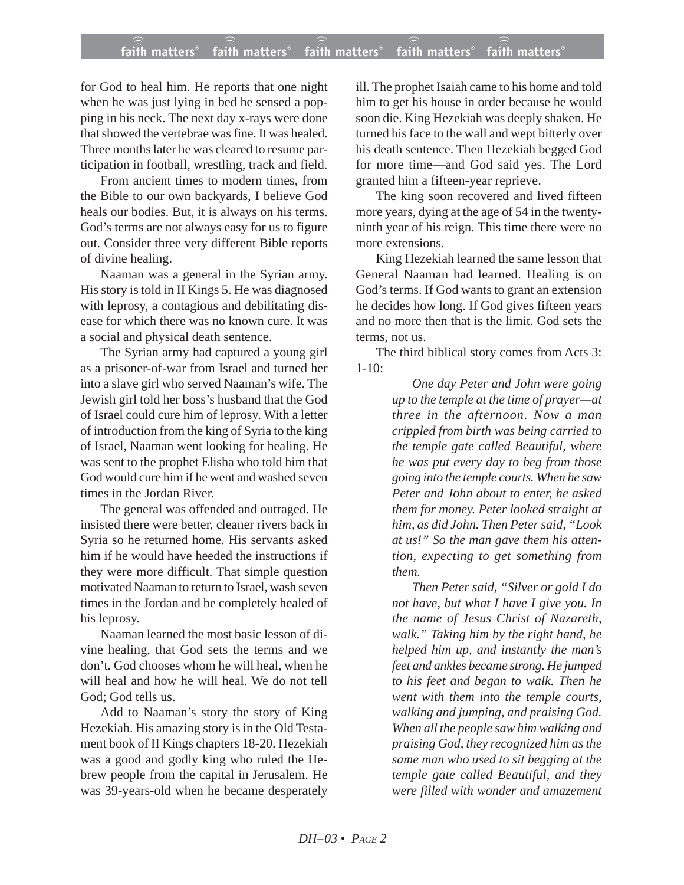### **faith matters® faith matters® faith matters® faith matters® faith matters®** ))) ))) faith matters<sup>®</sup> faith matters<sup>®</sup> faith matters

for God to heal him. He reports that one night when he was just lying in bed he sensed a popping in his neck. The next day x-rays were done that showed the vertebrae was fine. It was healed. Three months later he was cleared to resume participation in football, wrestling, track and field.

From ancient times to modern times, from the Bible to our own backyards, I believe God heals our bodies. But, it is always on his terms. God's terms are not always easy for us to figure out. Consider three very different Bible reports of divine healing.

Naaman was a general in the Syrian army. His story is told in II Kings 5. He was diagnosed with leprosy, a contagious and debilitating disease for which there was no known cure. It was a social and physical death sentence.

The Syrian army had captured a young girl as a prisoner-of-war from Israel and turned her into a slave girl who served Naaman's wife. The Jewish girl told her boss's husband that the God of Israel could cure him of leprosy. With a letter of introduction from the king of Syria to the king of Israel, Naaman went looking for healing. He was sent to the prophet Elisha who told him that God would cure him if he went and washed seven times in the Jordan River.

The general was offended and outraged. He insisted there were better, cleaner rivers back in Syria so he returned home. His servants asked him if he would have heeded the instructions if they were more difficult. That simple question motivated Naaman to return to Israel, wash seven times in the Jordan and be completely healed of his leprosy.

Naaman learned the most basic lesson of divine healing, that God sets the terms and we don't. God chooses whom he will heal, when he will heal and how he will heal. We do not tell God; God tells us.

Add to Naaman's story the story of King Hezekiah. His amazing story is in the Old Testament book of II Kings chapters 18-20. Hezekiah was a good and godly king who ruled the Hebrew people from the capital in Jerusalem. He was 39-years-old when he became desperately ill. The prophet Isaiah came to his home and told him to get his house in order because he would soon die. King Hezekiah was deeply shaken. He turned his face to the wall and wept bitterly over his death sentence. Then Hezekiah begged God for more time—and God said yes. The Lord granted him a fifteen-year reprieve.

The king soon recovered and lived fifteen more years, dying at the age of 54 in the twentyninth year of his reign. This time there were no more extensions.

King Hezekiah learned the same lesson that General Naaman had learned. Healing is on God's terms. If God wants to grant an extension he decides how long. If God gives fifteen years and no more then that is the limit. God sets the terms, not us.

The third biblical story comes from Acts 3:  $1-10$ :

> *One day Peter and John were going up to the temple at the time of prayer—at three in the afternoon. Now a man crippled from birth was being carried to the temple gate called Beautiful, where he was put every day to beg from those going into the temple courts. When he saw Peter and John about to enter, he asked them for money. Peter looked straight at him, as did John. Then Peter said, "Look at us!" So the man gave them his attention, expecting to get something from them.*

> *Then Peter said, "Silver or gold I do not have, but what I have I give you. In the name of Jesus Christ of Nazareth, walk." Taking him by the right hand, he helped him up, and instantly the man's feet and ankles became strong. He jumped to his feet and began to walk. Then he went with them into the temple courts, walking and jumping, and praising God. When all the people saw him walking and praising God, they recognized him as the same man who used to sit begging at the temple gate called Beautiful, and they were filled with wonder and amazement*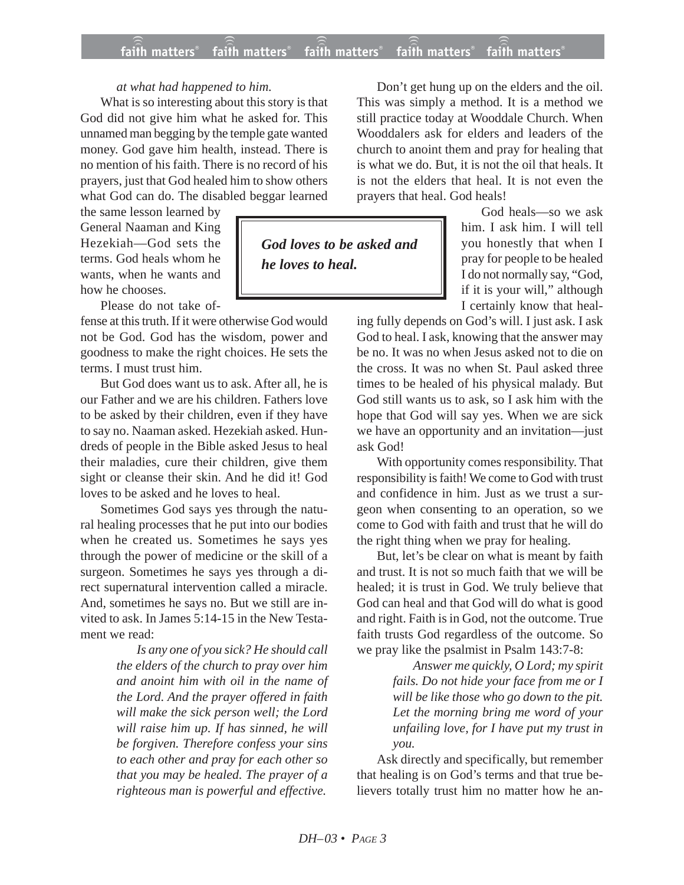## **faith matters® faith matters® faith matters® faith matters® faith matters®** ))) ))) ))) faith matters<sup>®</sup> faith matters<sup>®</sup> faith matters®

# *at what had happened to him.*

What is so interesting about this story is that God did not give him what he asked for. This unnamed man begging by the temple gate wanted money. God gave him health, instead. There is no mention of his faith. There is no record of his prayers, just that God healed him to show others what God can do. The disabled beggar learned

the same lesson learned by General Naaman and King Hezekiah—God sets the terms. God heals whom he wants, when he wants and how he chooses.

Please do not take of-

fense at this truth. If it were otherwise God would not be God. God has the wisdom, power and goodness to make the right choices. He sets the terms. I must trust him.

But God does want us to ask. After all, he is our Father and we are his children. Fathers love to be asked by their children, even if they have to say no. Naaman asked. Hezekiah asked. Hundreds of people in the Bible asked Jesus to heal their maladies, cure their children, give them sight or cleanse their skin. And he did it! God loves to be asked and he loves to heal.

Sometimes God says yes through the natural healing processes that he put into our bodies when he created us. Sometimes he says yes through the power of medicine or the skill of a surgeon. Sometimes he says yes through a direct supernatural intervention called a miracle. And, sometimes he says no. But we still are invited to ask. In James 5:14-15 in the New Testament we read:

> *Is any one of you sick? He should call the elders of the church to pray over him and anoint him with oil in the name of the Lord. And the prayer offered in faith will make the sick person well; the Lord will raise him up. If has sinned, he will be forgiven. Therefore confess your sins to each other and pray for each other so that you may be healed. The prayer of a righteous man is powerful and effective.*

Don't get hung up on the elders and the oil. This was simply a method. It is a method we still practice today at Wooddale Church. When Wooddalers ask for elders and leaders of the church to anoint them and pray for healing that is what we do. But, it is not the oil that heals. It is not the elders that heal. It is not even the prayers that heal. God heals!

> God heals—so we ask him. I ask him. I will tell you honestly that when I pray for people to be healed I do not normally say, "God, if it is your will," although I certainly know that heal-

ing fully depends on God's will. I just ask. I ask God to heal. I ask, knowing that the answer may be no. It was no when Jesus asked not to die on the cross. It was no when St. Paul asked three times to be healed of his physical malady. But God still wants us to ask, so I ask him with the hope that God will say yes. When we are sick we have an opportunity and an invitation—just ask God!

With opportunity comes responsibility. That responsibility is faith! We come to God with trust and confidence in him. Just as we trust a surgeon when consenting to an operation, so we come to God with faith and trust that he will do the right thing when we pray for healing.

But, let's be clear on what is meant by faith and trust. It is not so much faith that we will be healed; it is trust in God. We truly believe that God can heal and that God will do what is good and right. Faith is in God, not the outcome. True faith trusts God regardless of the outcome. So we pray like the psalmist in Psalm 143:7-8:

> *Answer me quickly, O Lord; my spirit fails. Do not hide your face from me or I will be like those who go down to the pit. Let the morning bring me word of your unfailing love, for I have put my trust in you.*

Ask directly and specifically, but remember that healing is on God's terms and that true believers totally trust him no matter how he an-

*God loves to be asked and*

*he loves to heal.*